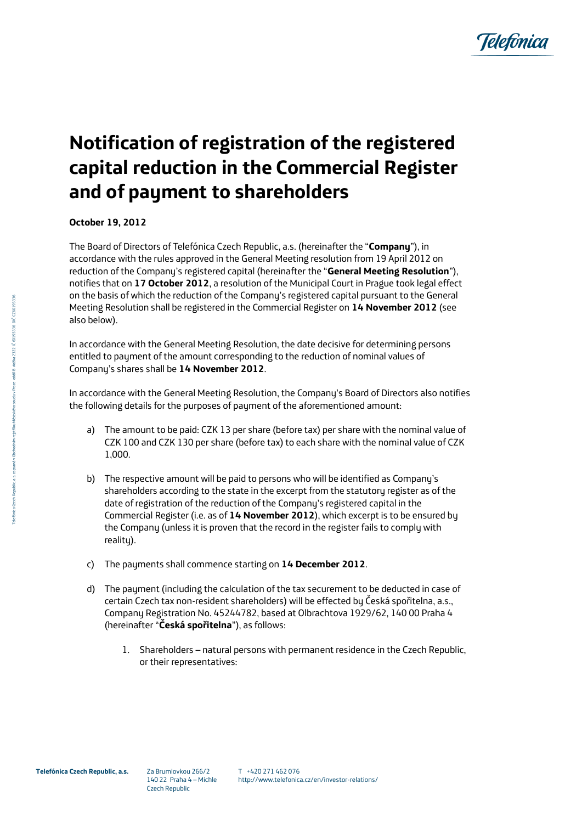

## **Notification of registration of the registered capital reduction in the Commercial Register and of payment to shareholders**

**October 19, 2012**

The Board of Directors of Telefónica Czech Republic, a.s. (hereinafter the "**Company**"), in accordance with the rules approved in the General Meeting resolution from 19 April 2012 on reduction of the Company's registered capital (hereinafter the "**General Meeting Resolution**"), notifies that on **17 October 2012**, a resolution of the Municipal Court in Prague took legal effect on the basis of which the reduction of the Company's registered capital pursuant to the General Meeting Resolution shall be registered in the Commercial Register on **14 November 2012** (see also below).

In accordance with the General Meeting Resolution, the date decisive for determining persons entitled to payment of the amount corresponding to the reduction of nominal values of Company's shares shall be **14 November 2012**.

In accordance with the General Meeting Resolution, the Company's Board of Directors also notifies the following details for the purposes of payment of the aforementioned amount:

- a) The amount to be paid: CZK 13 per share (before tax) per share with the nominal value of CZK 100 and CZK 130 per share (before tax) to each share with the nominal value of CZK 1,000.
- b) The respective amount will be paid to persons who will be identified as Company's shareholders according to the state in the excerpt from the statutory register as of the date of registration of the reduction of the Company's registered capital in the Commercial Register (i.e. as of **14 November 2012**), which excerpt is to be ensured by the Company (unless it is proven that the record in the register fails to comply with reality).
- c) The payments shall commence starting on **14 December 2012**.
- d) The payment (including the calculation of the tax securement to be deducted in case of certain Czech tax non-resident shareholders) will be effected by Česká spořitelna, a.s., Company Registration No. 45244782, based at Olbrachtova 1929/62, 140 00 Praha 4 (hereinafter "**Česká spořitelna**"), as follows:
	- 1. Shareholders natural persons with permanent residence in the Czech Republic, or their representatives: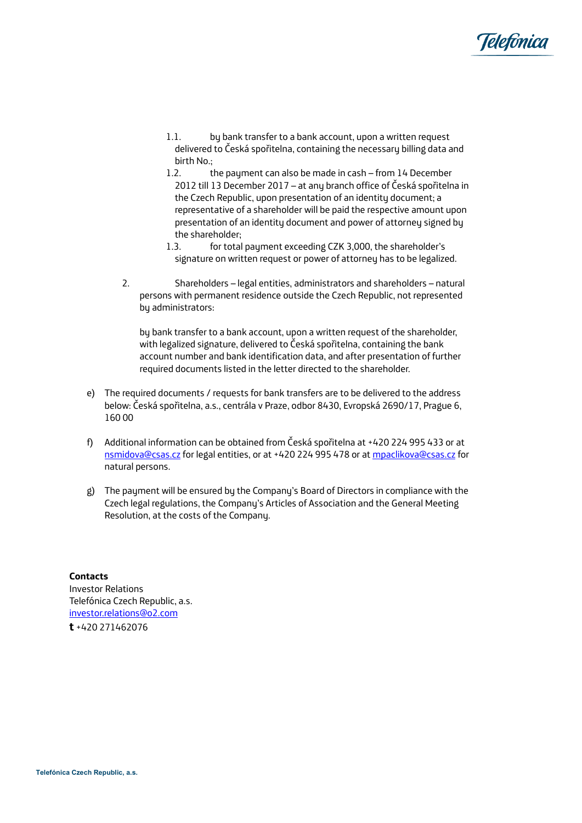

- 1.1. by bank transfer to a bank account, upon a written request delivered to Česká spořitelna, containing the necessary billing data and birth No.;
- 1.2. the payment can also be made in cash from 14 December 2012 till 13 December 2017 – at any branch office of Česká spořitelna in the Czech Republic, upon presentation of an identity document; a representative of a shareholder will be paid the respective amount upon presentation of an identity document and power of attorney signed by the shareholder;
- 1.3. for total payment exceeding CZK 3,000, the shareholder's signature on written request or power of attorney has to be legalized.
- 2. Shareholders legal entities, administrators and shareholders natural persons with permanent residence outside the Czech Republic, not represented by administrators:

by bank transfer to a bank account, upon a written request of the shareholder, with legalized signature, delivered to Česká spořitelna, containing the bank account number and bank identification data, and after presentation of further required documents listed in the letter directed to the shareholder.

- e) The required documents / requests for bank transfers are to be delivered to the address below: Česká spořitelna, a.s., centrála v Praze, odbor 8430, Evropská 2690/17, Prague 6, 160 00
- f) Additional information can be obtained from Česká spořitelna at +420 224 995 433 or at <nsmidova@csas.cz> for legal entities, or at +420 224 995 478 or a[t mpaclikova@csas.cz](mpaclikova@csas.cz) for natural persons.
- g) The payment will be ensured by the Company's Board of Directors in compliance with the Czech legal regulations, the Company's Articles of Association and the General Meeting Resolution, at the costs of the Company.

**Contacts** Investor Relations Telefónica Czech Republic, a.s. [investor.relations@o2.com](mailto:investor.relations@o2.com) **t** +420 271462076